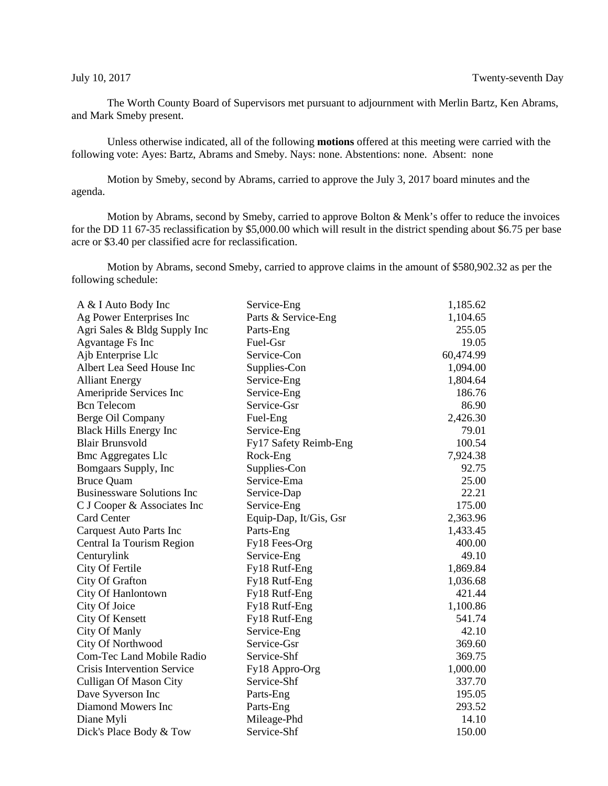The Worth County Board of Supervisors met pursuant to adjournment with Merlin Bartz, Ken Abrams, and Mark Smeby present.

Unless otherwise indicated, all of the following **motions** offered at this meeting were carried with the following vote: Ayes: Bartz, Abrams and Smeby. Nays: none. Abstentions: none. Absent: none

Motion by Smeby, second by Abrams, carried to approve the July 3, 2017 board minutes and the agenda.

Motion by Abrams, second by Smeby, carried to approve Bolton & Menk's offer to reduce the invoices for the DD 11 67-35 reclassification by \$5,000.00 which will result in the district spending about \$6.75 per base acre or \$3.40 per classified acre for reclassification.

Motion by Abrams, second Smeby, carried to approve claims in the amount of \$580,902.32 as per the following schedule:

| A & I Auto Body Inc                | Service-Eng            | 1,185.62  |
|------------------------------------|------------------------|-----------|
| Ag Power Enterprises Inc           | Parts & Service-Eng    | 1,104.65  |
| Agri Sales & Bldg Supply Inc       | Parts-Eng              | 255.05    |
| Agvantage Fs Inc                   | Fuel-Gsr               | 19.05     |
| Ajb Enterprise Llc                 | Service-Con            | 60,474.99 |
| Albert Lea Seed House Inc          | Supplies-Con           | 1,094.00  |
| <b>Alliant Energy</b>              | Service-Eng            | 1,804.64  |
| Ameripride Services Inc            | Service-Eng            | 186.76    |
| <b>Bcn</b> Telecom                 | Service-Gsr            | 86.90     |
| Berge Oil Company                  | Fuel-Eng               | 2,426.30  |
| <b>Black Hills Energy Inc</b>      | Service-Eng            | 79.01     |
| <b>Blair Brunsvold</b>             | Fy17 Safety Reimb-Eng  | 100.54    |
| <b>Bmc Aggregates Llc</b>          | Rock-Eng               | 7,924.38  |
| Bomgaars Supply, Inc               | Supplies-Con           | 92.75     |
| <b>Bruce Quam</b>                  | Service-Ema            | 25.00     |
| <b>Businessware Solutions Inc</b>  | Service-Dap            | 22.21     |
| C J Cooper & Associates Inc        | Service-Eng            | 175.00    |
| Card Center                        | Equip-Dap, It/Gis, Gsr | 2,363.96  |
| <b>Carquest Auto Parts Inc</b>     | Parts-Eng              | 1,433.45  |
| Central Ia Tourism Region          | Fy18 Fees-Org          | 400.00    |
| Centurylink                        | Service-Eng            | 49.10     |
| City Of Fertile                    | Fy18 Rutf-Eng          | 1,869.84  |
| City Of Grafton                    | Fy18 Rutf-Eng          | 1,036.68  |
| City Of Hanlontown                 | Fy18 Rutf-Eng          | 421.44    |
| City Of Joice                      | Fy18 Rutf-Eng          | 1,100.86  |
| <b>City Of Kensett</b>             | Fy18 Rutf-Eng          | 541.74    |
| City Of Manly                      | Service-Eng            | 42.10     |
| City Of Northwood                  | Service-Gsr            | 369.60    |
| <b>Com-Tec Land Mobile Radio</b>   | Service-Shf            | 369.75    |
| <b>Crisis Intervention Service</b> | Fy18 Appro-Org         | 1,000.00  |
| <b>Culligan Of Mason City</b>      | Service-Shf            | 337.70    |
| Dave Syverson Inc                  | Parts-Eng              | 195.05    |
| Diamond Mowers Inc                 | Parts-Eng              | 293.52    |
| Diane Myli                         | Mileage-Phd            | 14.10     |
| Dick's Place Body & Tow            | Service-Shf            | 150.00    |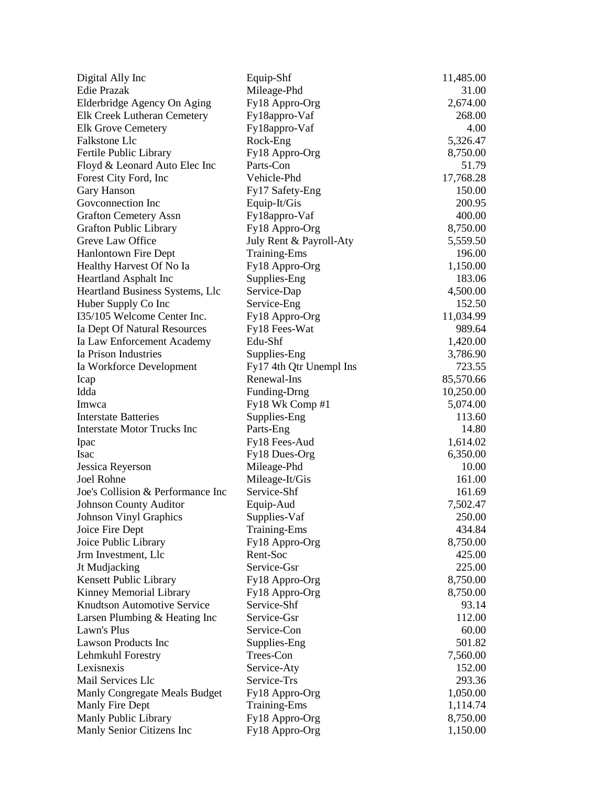| Digital Ally Inc                   | Equip-Shf               | 11,485.00 |
|------------------------------------|-------------------------|-----------|
| <b>Edie Prazak</b>                 | Mileage-Phd             | 31.00     |
| Elderbridge Agency On Aging        | Fy18 Appro-Org          | 2,674.00  |
| Elk Creek Lutheran Cemetery        | Fy18appro-Vaf           | 268.00    |
| <b>Elk Grove Cemetery</b>          | Fy18appro-Vaf           | 4.00      |
| Falkstone Llc                      | Rock-Eng                | 5,326.47  |
| Fertile Public Library             | Fy18 Appro-Org          | 8,750.00  |
| Floyd & Leonard Auto Elec Inc      | Parts-Con               | 51.79     |
| Forest City Ford, Inc.             | Vehicle-Phd             | 17,768.28 |
| Gary Hanson                        | Fy17 Safety-Eng         | 150.00    |
| Goveonnection Inc                  | Equip-It/Gis            | 200.95    |
| <b>Grafton Cemetery Assn</b>       | Fy18appro-Vaf           | 400.00    |
| <b>Grafton Public Library</b>      | Fy18 Appro-Org          | 8,750.00  |
| Greve Law Office                   | July Rent & Payroll-Aty | 5,559.50  |
| <b>Hanlontown Fire Dept</b>        | <b>Training-Ems</b>     | 196.00    |
| Healthy Harvest Of No Ia           | Fy18 Appro-Org          | 1,150.00  |
| <b>Heartland Asphalt Inc</b>       | Supplies-Eng            | 183.06    |
| Heartland Business Systems, Llc    | Service-Dap             | 4,500.00  |
| Huber Supply Co Inc                | Service-Eng             | 152.50    |
| I35/105 Welcome Center Inc.        | Fy18 Appro-Org          | 11,034.99 |
| Ia Dept Of Natural Resources       | Fy18 Fees-Wat           | 989.64    |
| Ia Law Enforcement Academy         | Edu-Shf                 | 1,420.00  |
| Ia Prison Industries               | Supplies-Eng            | 3,786.90  |
| Ia Workforce Development           | Fy17 4th Qtr Unempl Ins | 723.55    |
| Icap                               | Renewal-Ins             | 85,570.66 |
| Idda                               | Funding-Drng            | 10,250.00 |
| Imwca                              | Fy18 Wk Comp #1         | 5,074.00  |
| <b>Interstate Batteries</b>        | Supplies-Eng            | 113.60    |
| <b>Interstate Motor Trucks Inc</b> | Parts-Eng               | 14.80     |
| Ipac                               | Fy18 Fees-Aud           | 1,614.02  |
| Isac                               | Fy18 Dues-Org           | 6,350.00  |
| Jessica Reyerson                   | Mileage-Phd             | 10.00     |
| Joel Rohne                         | Mileage-It/Gis          | 161.00    |
| Joe's Collision & Performance Inc  | Service-Shf             | 161.69    |
| <b>Johnson County Auditor</b>      | Equip-Aud               | 7,502.47  |
| <b>Johnson Vinyl Graphics</b>      | Supplies-Vaf            | 250.00    |
| Joice Fire Dept                    | <b>Training-Ems</b>     | 434.84    |
| Joice Public Library               | Fy18 Appro-Org          | 8,750.00  |
| Jrm Investment, Llc                | Rent-Soc                | 425.00    |
| Jt Mudjacking                      | Service-Gsr             | 225.00    |
| Kensett Public Library             | Fy18 Appro-Org          | 8,750.00  |
| Kinney Memorial Library            | Fy18 Appro-Org          | 8,750.00  |
| <b>Knudtson Automotive Service</b> | Service-Shf             | 93.14     |
| Larsen Plumbing & Heating Inc      | Service-Gsr             | 112.00    |
| Lawn's Plus                        | Service-Con             | 60.00     |
| <b>Lawson Products Inc</b>         | Supplies-Eng            | 501.82    |
| Lehmkuhl Forestry                  | Trees-Con               | 7,560.00  |
| Lexisnexis                         | Service-Aty             | 152.00    |
| Mail Services Llc                  | Service-Trs             | 293.36    |
| Manly Congregate Meals Budget      | Fy18 Appro-Org          | 1,050.00  |
| Manly Fire Dept                    | <b>Training-Ems</b>     | 1,114.74  |
| Manly Public Library               | Fy18 Appro-Org          | 8,750.00  |
| Manly Senior Citizens Inc          | Fy18 Appro-Org          | 1,150.00  |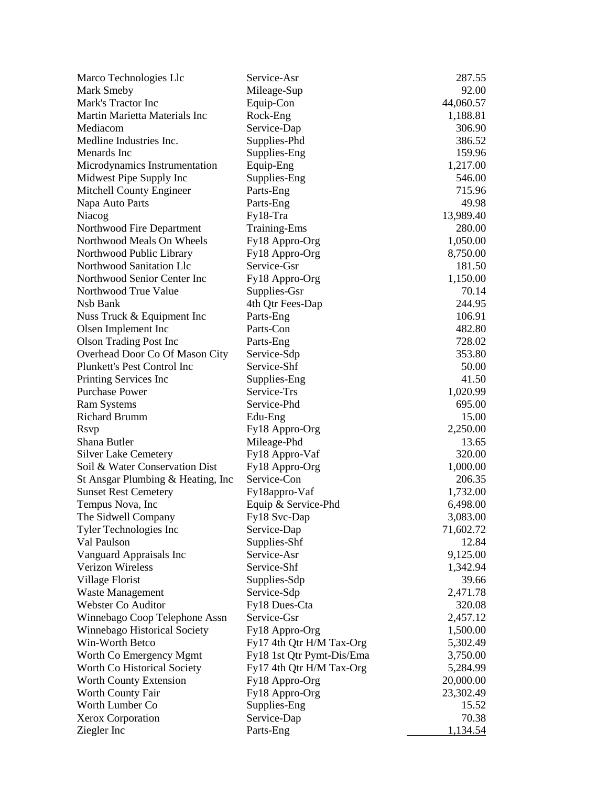| Marco Technologies Llc             | Service-Asr               | 287.55          |
|------------------------------------|---------------------------|-----------------|
| <b>Mark Smeby</b>                  | Mileage-Sup               | 92.00           |
| Mark's Tractor Inc                 | Equip-Con                 | 44,060.57       |
| Martin Marietta Materials Inc      | Rock-Eng                  | 1,188.81        |
| Mediacom                           | Service-Dap               | 306.90          |
| Medline Industries Inc.            | Supplies-Phd              | 386.52          |
| Menards Inc                        | Supplies-Eng              | 159.96          |
| Microdynamics Instrumentation      | Equip-Eng                 | 1,217.00        |
| Midwest Pipe Supply Inc            | Supplies-Eng              | 546.00          |
| Mitchell County Engineer           | Parts-Eng                 | 715.96          |
| Napa Auto Parts                    | Parts-Eng                 | 49.98           |
| Niacog                             | $Fy18-Tra$                | 13,989.40       |
| Northwood Fire Department          | <b>Training-Ems</b>       | 280.00          |
| Northwood Meals On Wheels          | Fy18 Appro-Org            | 1,050.00        |
| Northwood Public Library           | Fy18 Appro-Org            | 8,750.00        |
| Northwood Sanitation Llc           | Service-Gsr               | 181.50          |
| Northwood Senior Center Inc        | Fy18 Appro-Org            | 1,150.00        |
| Northwood True Value               | Supplies-Gsr              | 70.14           |
| Nsb Bank                           |                           | 244.95          |
|                                    | 4th Qtr Fees-Dap          |                 |
| Nuss Truck & Equipment Inc         | Parts-Eng<br>Parts-Con    | 106.91          |
| Olsen Implement Inc                |                           | 482.80          |
| <b>Olson Trading Post Inc</b>      | Parts-Eng                 | 728.02          |
| Overhead Door Co Of Mason City     | Service-Sdp               | 353.80          |
| Plunkett's Pest Control Inc        | Service-Shf               | 50.00           |
| Printing Services Inc              | Supplies-Eng              | 41.50           |
| <b>Purchase Power</b>              | Service-Trs               | 1,020.99        |
| <b>Ram Systems</b>                 | Service-Phd               | 695.00          |
| <b>Richard Brumm</b>               | Edu-Eng                   | 15.00           |
| <b>R</b> svp                       | Fy18 Appro-Org            | 2,250.00        |
| Shana Butler                       | Mileage-Phd               | 13.65           |
| <b>Silver Lake Cemetery</b>        | Fy18 Appro-Vaf            | 320.00          |
| Soil & Water Conservation Dist     | Fy18 Appro-Org            | 1,000.00        |
| St Ansgar Plumbing & Heating, Inc. | Service-Con               | 206.35          |
| <b>Sunset Rest Cemetery</b>        | Fy18appro-Vaf             | 1,732.00        |
| Tempus Nova, Inc.                  | Equip & Service-Phd       | 6,498.00        |
| The Sidwell Company                | Fy18 Svc-Dap              | 3,083.00        |
| <b>Tyler Technologies Inc</b>      | Service-Dap               | 71,602.72       |
| Val Paulson                        | Supplies-Shf              | 12.84           |
| Vanguard Appraisals Inc            | Service-Asr               | 9,125.00        |
| Verizon Wireless                   | Service-Shf               | 1,342.94        |
| Village Florist                    | Supplies-Sdp              | 39.66           |
| Waste Management                   | Service-Sdp               | 2,471.78        |
| Webster Co Auditor                 | Fy18 Dues-Cta             | 320.08          |
| Winnebago Coop Telephone Assn      | Service-Gsr               | 2,457.12        |
| Winnebago Historical Society       | Fy18 Appro-Org            | 1,500.00        |
| Win-Worth Betco                    | Fy17 4th Qtr H/M Tax-Org  | 5,302.49        |
| Worth Co Emergency Mgmt            | Fy18 1st Qtr Pymt-Dis/Ema | 3,750.00        |
| Worth Co Historical Society        | Fy17 4th Qtr H/M Tax-Org  | 5,284.99        |
| Worth County Extension             | Fy18 Appro-Org            | 20,000.00       |
| Worth County Fair                  | Fy18 Appro-Org            | 23,302.49       |
| Worth Lumber Co                    | Supplies-Eng              | 15.52           |
| Xerox Corporation                  | Service-Dap               | 70.38           |
| Ziegler Inc                        | Parts-Eng                 | <u>1,134.54</u> |
|                                    |                           |                 |